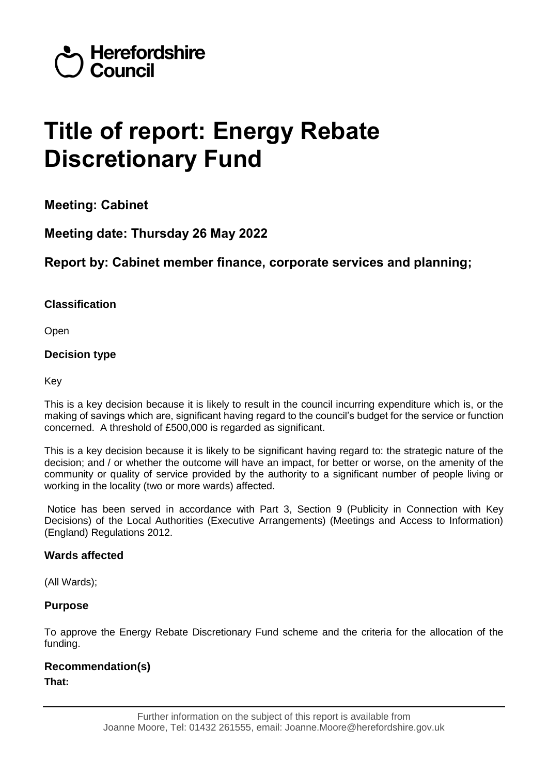

# **Title of report: Energy Rebate Discretionary Fund**

**Meeting: Cabinet**

**Meeting date: Thursday 26 May 2022**

### **Report by: Cabinet member finance, corporate services and planning;**

#### **Classification**

Open

#### **Decision type**

Key

This is a key decision because it is likely to result in the council incurring expenditure which is, or the making of savings which are, significant having regard to the council's budget for the service or function concerned. A threshold of £500,000 is regarded as significant.

This is a key decision because it is likely to be significant having regard to: the strategic nature of the decision; and / or whether the outcome will have an impact, for better or worse, on the amenity of the community or quality of service provided by the authority to a significant number of people living or working in the locality (two or more wards) affected.

Notice has been served in accordance with Part 3, Section 9 (Publicity in Connection with Key Decisions) of the Local Authorities (Executive Arrangements) (Meetings and Access to Information) (England) Regulations 2012.

#### **Wards affected**

(All Wards);

#### **Purpose**

To approve the Energy Rebate Discretionary Fund scheme and the criteria for the allocation of the funding.

#### **Recommendation(s) That:**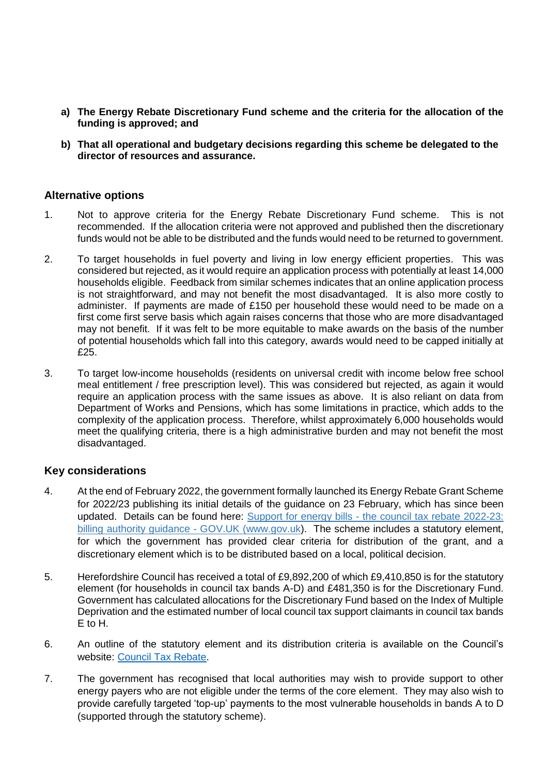- **a) The Energy Rebate Discretionary Fund scheme and the criteria for the allocation of the funding is approved; and**
- **b) That all operational and budgetary decisions regarding this scheme be delegated to the director of resources and assurance.**

#### **Alternative options**

- 1. Not to approve criteria for the Energy Rebate Discretionary Fund scheme. This is not recommended. If the allocation criteria were not approved and published then the discretionary funds would not be able to be distributed and the funds would need to be returned to government.
- 2. To target households in fuel poverty and living in low energy efficient properties. This was considered but rejected, as it would require an application process with potentially at least 14,000 households eligible. Feedback from similar schemes indicates that an online application process is not straightforward, and may not benefit the most disadvantaged. It is also more costly to administer. If payments are made of £150 per household these would need to be made on a first come first serve basis which again raises concerns that those who are more disadvantaged may not benefit. If it was felt to be more equitable to make awards on the basis of the number of potential households which fall into this category, awards would need to be capped initially at £25.
- 3. To target low-income households (residents on universal credit with income below free school meal entitlement / free prescription level). This was considered but rejected, as again it would require an application process with the same issues as above. It is also reliant on data from Department of Works and Pensions, which has some limitations in practice, which adds to the complexity of the application process. Therefore, whilst approximately 6,000 households would meet the qualifying criteria, there is a high administrative burden and may not benefit the most disadvantaged.

#### **Key considerations**

- 4. At the end of February 2022, the government formally launched its Energy Rebate Grant Scheme for 2022/23 publishing its initial details of the guidance on 23 February, which has since been updated. Details can be found here: Support for energy bills - [the council tax rebate 2022-23:](https://www.gov.uk/government/publications/the-council-tax-rebate-2022-23-billing-authority-guidance/support-for-energy-bills-the-council-tax-rebate-2022-23-billing-authority-guidance)  [billing authority guidance -](https://www.gov.uk/government/publications/the-council-tax-rebate-2022-23-billing-authority-guidance/support-for-energy-bills-the-council-tax-rebate-2022-23-billing-authority-guidance) GOV.UK (www.gov.uk). The scheme includes a statutory element, for which the government has provided clear criteria for distribution of the grant, and a discretionary element which is to be distributed based on a local, political decision.
- 5. Herefordshire Council has received a total of £9,892,200 of which £9,410,850 is for the statutory element (for households in council tax bands A-D) and £481,350 is for the Discretionary Fund. Government has calculated allocations for the Discretionary Fund based on the Index of Multiple Deprivation and the estimated number of local council tax support claimants in council tax bands E to H.
- 6. An outline of the statutory element and its distribution criteria is available on the Council's website: [Council Tax Rebate.](https://www.herefordshire.gov.uk/council-tax-1/council-tax-discounts-exemptions/19)
- 7. The government has recognised that local authorities may wish to provide support to other energy payers who are not eligible under the terms of the core element. They may also wish to provide carefully targeted 'top-up' payments to the most vulnerable households in bands A to D (supported through the statutory scheme).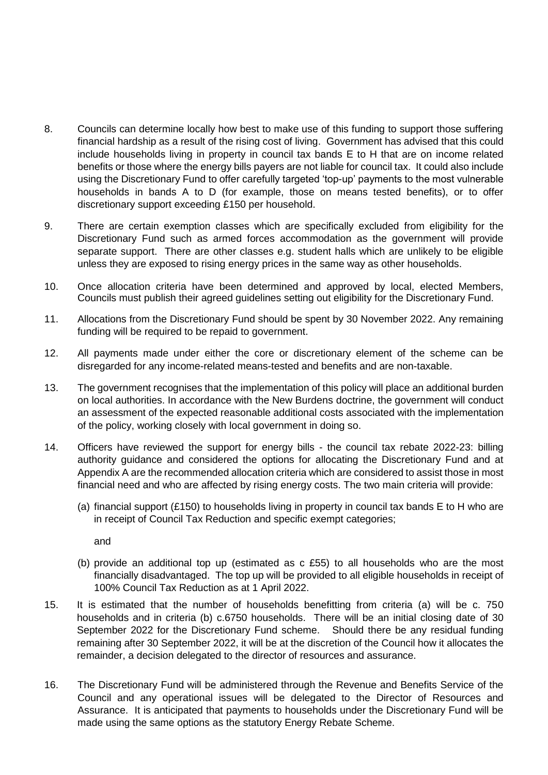- 8. Councils can determine locally how best to make use of this funding to support those suffering financial hardship as a result of the rising cost of living. Government has advised that this could include households living in property in council tax bands E to H that are on income related benefits or those where the energy bills payers are not liable for council tax. It could also include using the Discretionary Fund to offer carefully targeted 'top-up' payments to the most vulnerable households in bands A to D (for example, those on means tested benefits), or to offer discretionary support exceeding £150 per household.
- 9. There are certain exemption classes which are specifically excluded from eligibility for the Discretionary Fund such as armed forces accommodation as the government will provide separate support. There are other classes e.g. student halls which are unlikely to be eligible unless they are exposed to rising energy prices in the same way as other households.
- 10. Once allocation criteria have been determined and approved by local, elected Members, Councils must publish their agreed guidelines setting out eligibility for the Discretionary Fund.
- 11. Allocations from the Discretionary Fund should be spent by 30 November 2022. Any remaining funding will be required to be repaid to government.
- 12. All payments made under either the core or discretionary element of the scheme can be disregarded for any income-related means-tested and benefits and are non-taxable.
- 13. The government recognises that the implementation of this policy will place an additional burden on local authorities. In accordance with the New Burdens doctrine, the government will conduct an assessment of the expected reasonable additional costs associated with the implementation of the policy, working closely with local government in doing so.
- 14. Officers have reviewed the support for energy bills the council tax rebate 2022-23: billing authority guidance and considered the options for allocating the Discretionary Fund and at Appendix A are the recommended allocation criteria which are considered to assist those in most financial need and who are affected by rising energy costs. The two main criteria will provide:
	- (a) financial support  $(E150)$  to households living in property in council tax bands E to H who are in receipt of Council Tax Reduction and specific exempt categories;

and

- (b) provide an additional top up (estimated as c £55) to all households who are the most financially disadvantaged. The top up will be provided to all eligible households in receipt of 100% Council Tax Reduction as at 1 April 2022.
- 15. It is estimated that the number of households benefitting from criteria (a) will be c. 750 households and in criteria (b) c.6750 households. There will be an initial closing date of 30 September 2022 for the Discretionary Fund scheme. Should there be any residual funding remaining after 30 September 2022, it will be at the discretion of the Council how it allocates the remainder, a decision delegated to the director of resources and assurance.
- 16. The Discretionary Fund will be administered through the Revenue and Benefits Service of the Council and any operational issues will be delegated to the Director of Resources and Assurance. It is anticipated that payments to households under the Discretionary Fund will be made using the same options as the statutory Energy Rebate Scheme.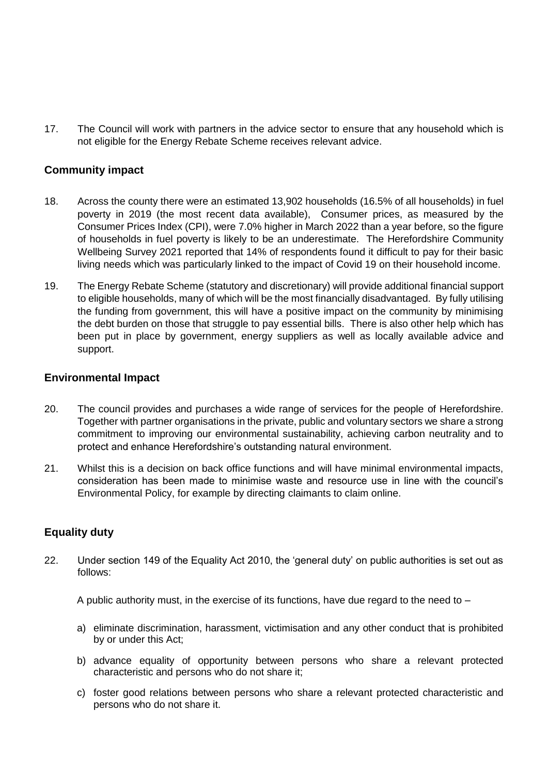17. The Council will work with partners in the advice sector to ensure that any household which is not eligible for the Energy Rebate Scheme receives relevant advice.

#### **Community impact**

- 18. Across the county there were an estimated 13,902 households (16.5% of all households) in fuel poverty in 2019 (the most recent data available), Consumer prices, as measured by the Consumer Prices Index (CPI), were 7.0% higher in March 2022 than a year before, so the figure of households in fuel poverty is likely to be an underestimate. The Herefordshire Community Wellbeing Survey 2021 reported that 14% of respondents found it difficult to pay for their basic living needs which was particularly linked to the impact of Covid 19 on their household income.
- 19. The Energy Rebate Scheme (statutory and discretionary) will provide additional financial support to eligible households, many of which will be the most financially disadvantaged. By fully utilising the funding from government, this will have a positive impact on the community by minimising the debt burden on those that struggle to pay essential bills. There is also other help which has been put in place by government, energy suppliers as well as locally available advice and support.

#### **Environmental Impact**

- 20. The council provides and purchases a wide range of services for the people of Herefordshire. Together with partner organisations in the private, public and voluntary sectors we share a strong commitment to improving our environmental sustainability, achieving carbon neutrality and to protect and enhance Herefordshire's outstanding natural environment.
- 21. Whilst this is a decision on back office functions and will have minimal environmental impacts, consideration has been made to minimise waste and resource use in line with the council's Environmental Policy, for example by directing claimants to claim online.

#### **Equality duty**

22. Under section 149 of the Equality Act 2010, the 'general duty' on public authorities is set out as follows:

A public authority must, in the exercise of its functions, have due regard to the need to –

- a) eliminate discrimination, harassment, victimisation and any other conduct that is prohibited by or under this Act;
- b) advance equality of opportunity between persons who share a relevant protected characteristic and persons who do not share it;
- c) foster good relations between persons who share a relevant protected characteristic and persons who do not share it.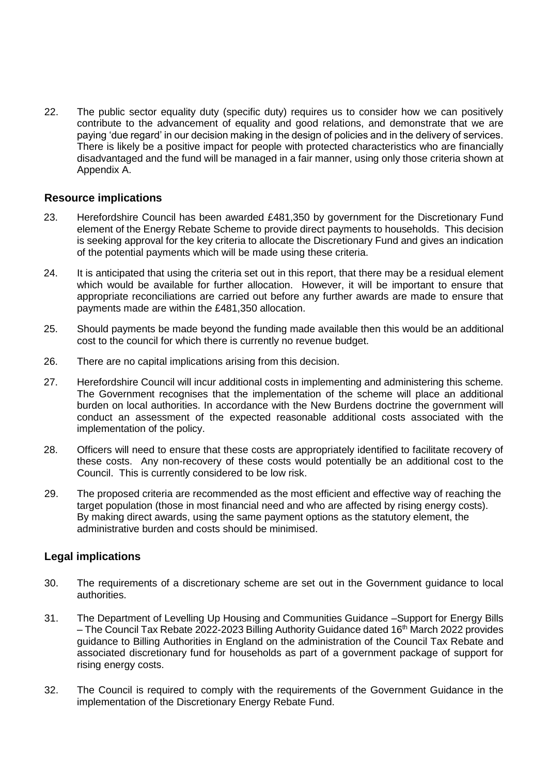22. The public sector equality duty (specific duty) requires us to consider how we can positively contribute to the advancement of equality and good relations, and demonstrate that we are paying 'due regard' in our decision making in the design of policies and in the delivery of services. There is likely be a positive impact for people with protected characteristics who are financially disadvantaged and the fund will be managed in a fair manner, using only those criteria shown at Appendix A.

#### **Resource implications**

- 23. Herefordshire Council has been awarded £481,350 by government for the Discretionary Fund element of the Energy Rebate Scheme to provide direct payments to households. This decision is seeking approval for the key criteria to allocate the Discretionary Fund and gives an indication of the potential payments which will be made using these criteria.
- 24. It is anticipated that using the criteria set out in this report, that there may be a residual element which would be available for further allocation. However, it will be important to ensure that appropriate reconciliations are carried out before any further awards are made to ensure that payments made are within the £481,350 allocation.
- 25. Should payments be made beyond the funding made available then this would be an additional cost to the council for which there is currently no revenue budget.
- 26. There are no capital implications arising from this decision.
- 27. Herefordshire Council will incur additional costs in implementing and administering this scheme. The Government recognises that the implementation of the scheme will place an additional burden on local authorities. In accordance with the New Burdens doctrine the government will conduct an assessment of the expected reasonable additional costs associated with the implementation of the policy.
- 28. Officers will need to ensure that these costs are appropriately identified to facilitate recovery of these costs. Any non-recovery of these costs would potentially be an additional cost to the Council. This is currently considered to be low risk.
- 29. The proposed criteria are recommended as the most efficient and effective way of reaching the target population (those in most financial need and who are affected by rising energy costs). By making direct awards, using the same payment options as the statutory element, the administrative burden and costs should be minimised.

#### **Legal implications**

- 30. The requirements of a discretionary scheme are set out in the Government guidance to local authorities.
- 31. The Department of Levelling Up Housing and Communities Guidance –Support for Energy Bills – The Council Tax Rebate 2022-2023 Billing Authority Guidance dated 16<sup>th</sup> March 2022 provides guidance to Billing Authorities in England on the administration of the Council Tax Rebate and associated discretionary fund for households as part of a government package of support for rising energy costs.
- 32. The Council is required to comply with the requirements of the Government Guidance in the implementation of the Discretionary Energy Rebate Fund.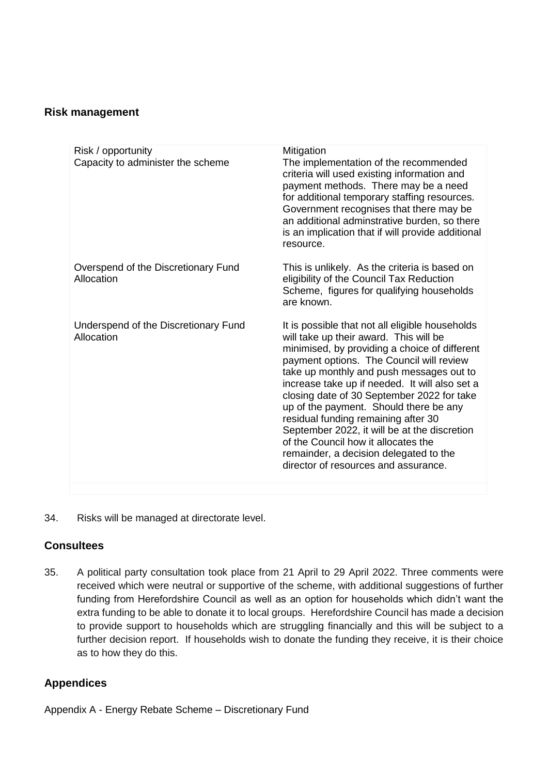#### **Risk management**

| Risk / opportunity<br>Capacity to administer the scheme | Mitigation<br>The implementation of the recommended<br>criteria will used existing information and<br>payment methods. There may be a need<br>for additional temporary staffing resources.<br>Government recognises that there may be<br>an additional adminstrative burden, so there<br>is an implication that if will provide additional<br>resource.                                                                                                                                                                                                                                      |
|---------------------------------------------------------|----------------------------------------------------------------------------------------------------------------------------------------------------------------------------------------------------------------------------------------------------------------------------------------------------------------------------------------------------------------------------------------------------------------------------------------------------------------------------------------------------------------------------------------------------------------------------------------------|
| Overspend of the Discretionary Fund<br>Allocation       | This is unlikely. As the criteria is based on<br>eligibility of the Council Tax Reduction<br>Scheme, figures for qualifying households<br>are known.                                                                                                                                                                                                                                                                                                                                                                                                                                         |
| Underspend of the Discretionary Fund<br>Allocation      | It is possible that not all eligible households<br>will take up their award. This will be<br>minimised, by providing a choice of different<br>payment options. The Council will review<br>take up monthly and push messages out to<br>increase take up if needed. It will also set a<br>closing date of 30 September 2022 for take<br>up of the payment. Should there be any<br>residual funding remaining after 30<br>September 2022, it will be at the discretion<br>of the Council how it allocates the<br>remainder, a decision delegated to the<br>director of resources and assurance. |
|                                                         |                                                                                                                                                                                                                                                                                                                                                                                                                                                                                                                                                                                              |

34. Risks will be managed at directorate level.

#### **Consultees**

35. A political party consultation took place from 21 April to 29 April 2022. Three comments were received which were neutral or supportive of the scheme, with additional suggestions of further funding from Herefordshire Council as well as an option for households which didn't want the extra funding to be able to donate it to local groups. Herefordshire Council has made a decision to provide support to households which are struggling financially and this will be subject to a further decision report. If households wish to donate the funding they receive, it is their choice as to how they do this.

#### **Appendices**

Appendix A - Energy Rebate Scheme – Discretionary Fund